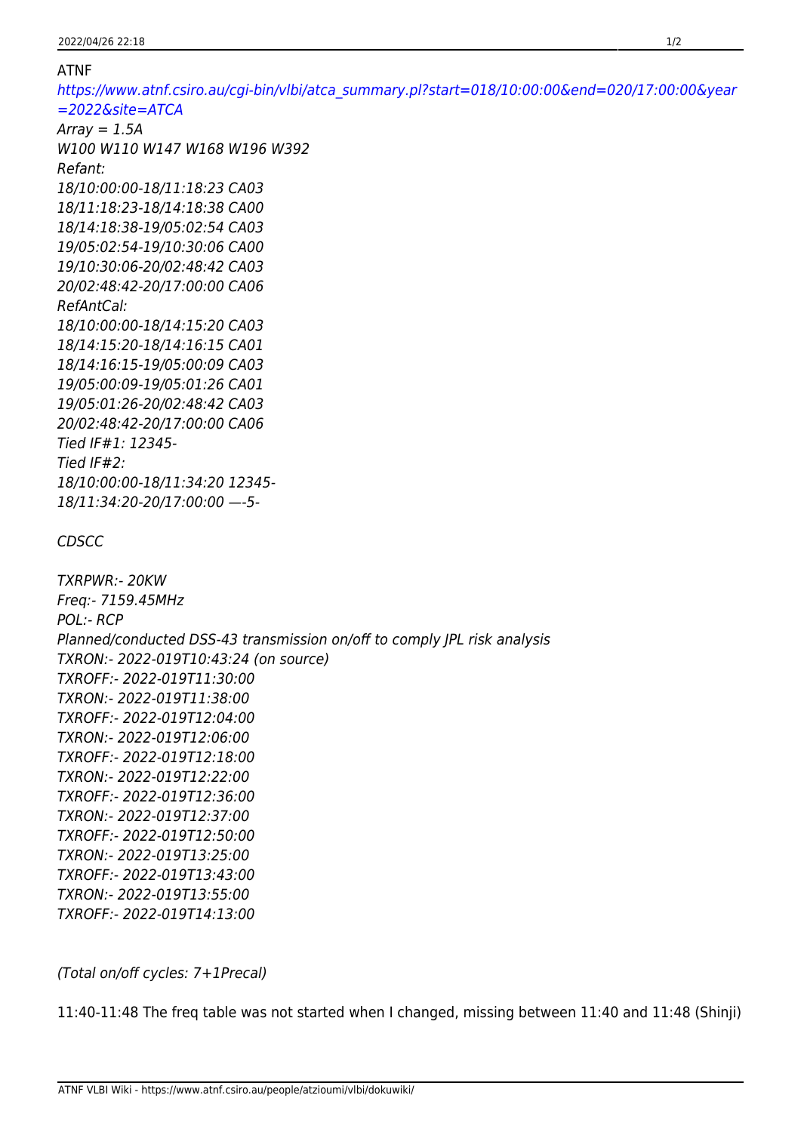## ATNF

[https://www.atnf.csiro.au/cgi-bin/vlbi/atca\\_summary.pl?start=018/10:00:00&end=020/17:00:00&year](https://www.atnf.csiro.au/cgi-bin/vlbi/atca_summary.pl?start=018/10:00:00&end=020/17:00:00&year=2022&site=ATCA) [=2022&site=ATCA](https://www.atnf.csiro.au/cgi-bin/vlbi/atca_summary.pl?start=018/10:00:00&end=020/17:00:00&year=2022&site=ATCA)

 $Array = 1.5A$ W100 W110 W147 W168 W196 W392 Refant: 18/10:00:00-18/11:18:23 CA03 18/11:18:23-18/14:18:38 CA00 18/14:18:38-19/05:02:54 CA03 19/05:02:54-19/10:30:06 CA00 19/10:30:06-20/02:48:42 CA03 20/02:48:42-20/17:00:00 CA06 RefAntCal: 18/10:00:00-18/14:15:20 CA03 18/14:15:20-18/14:16:15 CA01 18/14:16:15-19/05:00:09 CA03 19/05:00:09-19/05:01:26 CA01 19/05:01:26-20/02:48:42 CA03 20/02:48:42-20/17:00:00 CA06 Tied IF#1: 12345- Tied IF#2: 18/10:00:00-18/11:34:20 12345- 18/11:34:20-20/17:00:00 —-5-

## CDSCC

TXRPWR:- 20KW Freq:- 7159.45MHz POL:- RCP Planned/conducted DSS-43 transmission on/off to comply JPL risk analysis TXRON:- 2022-019T10:43:24 (on source) TXROFF:- 2022-019T11:30:00 TXRON:- 2022-019T11:38:00 TXROFF:- 2022-019T12:04:00 TXRON:- 2022-019T12:06:00 TXROFF:- 2022-019T12:18:00 TXRON:- 2022-019T12:22:00 TXROFF:- 2022-019T12:36:00 TXRON:- 2022-019T12:37:00 TXROFF:- 2022-019T12:50:00 TXRON:- 2022-019T13:25:00 TXROFF:- 2022-019T13:43:00 TXRON:- 2022-019T13:55:00 TXROFF:- 2022-019T14:13:00

(Total on/off cycles: 7+1Precal)

11:40-11:48 The freq table was not started when I changed, missing between 11:40 and 11:48 (Shinji)